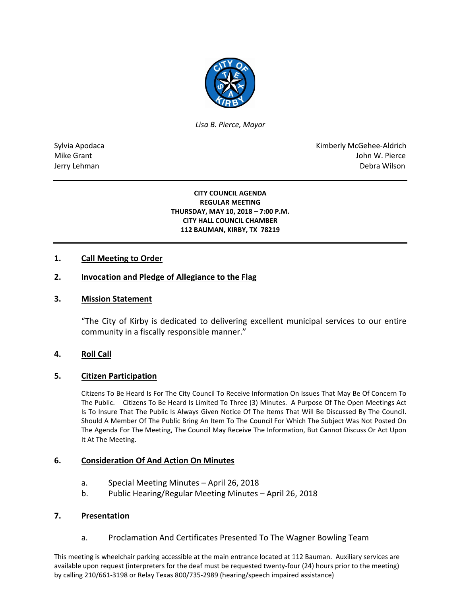

*Lisa B. Pierce, Mayor* 

Sylvia Apodaca National Research Communication of the Communication of the Kimberly McGehee-Aldrich Mike Grant John W. Pierce Jerry Lehman Debra Wilson (2008) and the state of the state of the state of the state of the state of the state of the state of the state of the state of the state of the state of the state of the state of the state of the

#### **CITY COUNCIL AGENDA REGULAR MEETING THURSDAY, MAY 10, 2018 – 7:00 P.M. CITY HALL COUNCIL CHAMBER 112 BAUMAN, KIRBY, TX 78219**

## **1. Call Meeting to Order**

## **2. Invocation and Pledge of Allegiance to the Flag**

### **3. Mission Statement**

"The City of Kirby is dedicated to delivering excellent municipal services to our entire community in a fiscally responsible manner."

## **4. Roll Call**

## **5. Citizen Participation**

Citizens To Be Heard Is For The City Council To Receive Information On Issues That May Be Of Concern To The Public. Citizens To Be Heard Is Limited To Three (3) Minutes. A Purpose Of The Open Meetings Act Is To Insure That The Public Is Always Given Notice Of The Items That Will Be Discussed By The Council. Should A Member Of The Public Bring An Item To The Council For Which The Subject Was Not Posted On The Agenda For The Meeting, The Council May Receive The Information, But Cannot Discuss Or Act Upon It At The Meeting.

### **6. Consideration Of And Action On Minutes**

- a. Special Meeting Minutes April 26, 2018
- b. Public Hearing/Regular Meeting Minutes April 26, 2018

### **7. Presentation**

a. Proclamation And Certificates Presented To The Wagner Bowling Team

This meeting is wheelchair parking accessible at the main entrance located at 112 Bauman. Auxiliary services are available upon request (interpreters for the deaf must be requested twenty-four (24) hours prior to the meeting) by calling 210/661-3198 or Relay Texas 800/735-2989 (hearing/speech impaired assistance)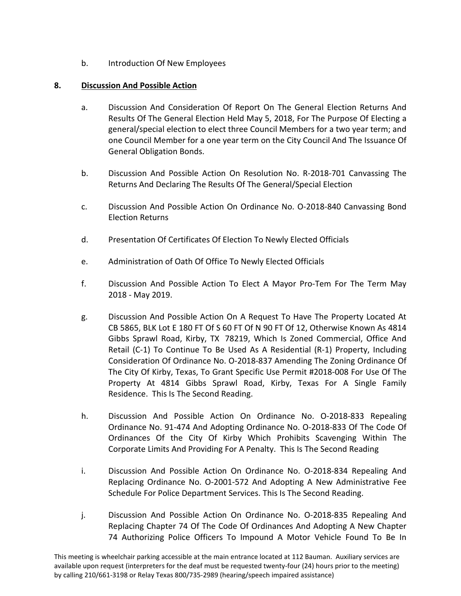b. Introduction Of New Employees

# **8. Discussion And Possible Action**

- a. Discussion And Consideration Of Report On The General Election Returns And Results Of The General Election Held May 5, 2018, For The Purpose Of Electing a general/special election to elect three Council Members for a two year term; and one Council Member for a one year term on the City Council And The Issuance Of General Obligation Bonds.
- b. Discussion And Possible Action On Resolution No. R-2018-701 Canvassing The Returns And Declaring The Results Of The General/Special Election
- c. Discussion And Possible Action On Ordinance No. O-2018-840 Canvassing Bond Election Returns
- d. Presentation Of Certificates Of Election To Newly Elected Officials
- e. Administration of Oath Of Office To Newly Elected Officials
- f. Discussion And Possible Action To Elect A Mayor Pro-Tem For The Term May 2018 - May 2019.
- g. Discussion And Possible Action On A Request To Have The Property Located At CB 5865, BLK Lot E 180 FT Of S 60 FT Of N 90 FT Of 12, Otherwise Known As 4814 Gibbs Sprawl Road, Kirby, TX 78219, Which Is Zoned Commercial, Office And Retail (C-1) To Continue To Be Used As A Residential (R-1) Property, Including Consideration Of Ordinance No. O-2018-837 Amending The Zoning Ordinance Of The City Of Kirby, Texas, To Grant Specific Use Permit #2018-008 For Use Of The Property At 4814 Gibbs Sprawl Road, Kirby, Texas For A Single Family Residence. This Is The Second Reading.
- h. Discussion And Possible Action On Ordinance No. O-2018-833 Repealing Ordinance No. 91-474 And Adopting Ordinance No. O-2018-833 Of The Code Of Ordinances Of the City Of Kirby Which Prohibits Scavenging Within The Corporate Limits And Providing For A Penalty. This Is The Second Reading
- i. Discussion And Possible Action On Ordinance No. O-2018-834 Repealing And Replacing Ordinance No. O-2001-572 And Adopting A New Administrative Fee Schedule For Police Department Services. This Is The Second Reading.
- j. Discussion And Possible Action On Ordinance No. O-2018-835 Repealing And Replacing Chapter 74 Of The Code Of Ordinances And Adopting A New Chapter 74 Authorizing Police Officers To Impound A Motor Vehicle Found To Be In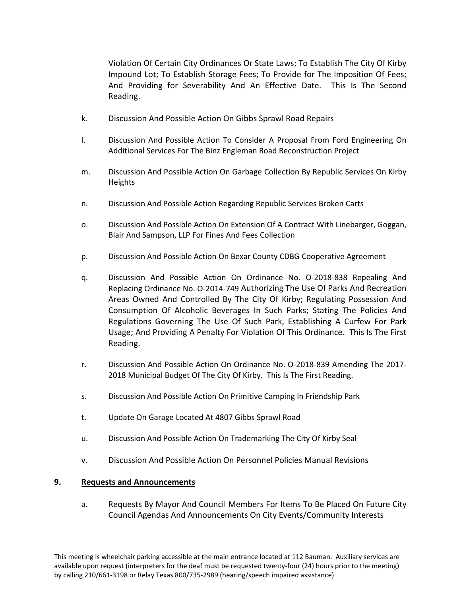Violation Of Certain City Ordinances Or State Laws; To Establish The City Of Kirby Impound Lot; To Establish Storage Fees; To Provide for The Imposition Of Fees; And Providing for Severability And An Effective Date. This Is The Second Reading.

- k. Discussion And Possible Action On Gibbs Sprawl Road Repairs
- l. Discussion And Possible Action To Consider A Proposal From Ford Engineering On Additional Services For The Binz Engleman Road Reconstruction Project
- m. Discussion And Possible Action On Garbage Collection By Republic Services On Kirby Heights
- n. Discussion And Possible Action Regarding Republic Services Broken Carts
- o. Discussion And Possible Action On Extension Of A Contract With Linebarger, Goggan, Blair And Sampson, LLP For Fines And Fees Collection
- p. Discussion And Possible Action On Bexar County CDBG Cooperative Agreement
- q. Discussion And Possible Action On Ordinance No. O-2018-838 Repealing And Replacing Ordinance No. O-2014-749 Authorizing The Use Of Parks And Recreation Areas Owned And Controlled By The City Of Kirby; Regulating Possession And Consumption Of Alcoholic Beverages In Such Parks; Stating The Policies And Regulations Governing The Use Of Such Park, Establishing A Curfew For Park Usage; And Providing A Penalty For Violation Of This Ordinance. This Is The First Reading.
- r. Discussion And Possible Action On Ordinance No. O-2018-839 Amending The 2017- 2018 Municipal Budget Of The City Of Kirby. This Is The First Reading.
- s. Discussion And Possible Action On Primitive Camping In Friendship Park
- t. Update On Garage Located At 4807 Gibbs Sprawl Road
- u. Discussion And Possible Action On Trademarking The City Of Kirby Seal
- v. Discussion And Possible Action On Personnel Policies Manual Revisions

## **9. Requests and Announcements**

a. Requests By Mayor And Council Members For Items To Be Placed On Future City Council Agendas And Announcements On City Events/Community Interests